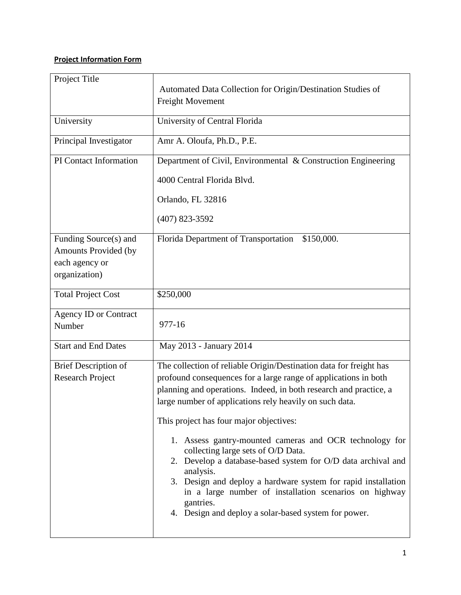## **Project Information Form**

| Project Title                                                                    | Automated Data Collection for Origin/Destination Studies of<br>Freight Movement                                                                                                                                                                                                                                                                                                                                                                                                                                                                                                                                                                                                                |  |  |
|----------------------------------------------------------------------------------|------------------------------------------------------------------------------------------------------------------------------------------------------------------------------------------------------------------------------------------------------------------------------------------------------------------------------------------------------------------------------------------------------------------------------------------------------------------------------------------------------------------------------------------------------------------------------------------------------------------------------------------------------------------------------------------------|--|--|
| University                                                                       | University of Central Florida                                                                                                                                                                                                                                                                                                                                                                                                                                                                                                                                                                                                                                                                  |  |  |
| Principal Investigator                                                           | Amr A. Oloufa, Ph.D., P.E.                                                                                                                                                                                                                                                                                                                                                                                                                                                                                                                                                                                                                                                                     |  |  |
| <b>PI</b> Contact Information                                                    | Department of Civil, Environmental & Construction Engineering                                                                                                                                                                                                                                                                                                                                                                                                                                                                                                                                                                                                                                  |  |  |
|                                                                                  | 4000 Central Florida Blvd.                                                                                                                                                                                                                                                                                                                                                                                                                                                                                                                                                                                                                                                                     |  |  |
|                                                                                  | Orlando, FL 32816                                                                                                                                                                                                                                                                                                                                                                                                                                                                                                                                                                                                                                                                              |  |  |
|                                                                                  | $(407)$ 823-3592                                                                                                                                                                                                                                                                                                                                                                                                                                                                                                                                                                                                                                                                               |  |  |
| Funding Source(s) and<br>Amounts Provided (by<br>each agency or<br>organization) | Florida Department of Transportation<br>\$150,000.                                                                                                                                                                                                                                                                                                                                                                                                                                                                                                                                                                                                                                             |  |  |
| <b>Total Project Cost</b>                                                        | \$250,000                                                                                                                                                                                                                                                                                                                                                                                                                                                                                                                                                                                                                                                                                      |  |  |
| <b>Agency ID or Contract</b><br>Number                                           | 977-16                                                                                                                                                                                                                                                                                                                                                                                                                                                                                                                                                                                                                                                                                         |  |  |
| <b>Start and End Dates</b>                                                       | May 2013 - January 2014                                                                                                                                                                                                                                                                                                                                                                                                                                                                                                                                                                                                                                                                        |  |  |
| <b>Brief Description of</b><br><b>Research Project</b>                           | The collection of reliable Origin/Destination data for freight has<br>profound consequences for a large range of applications in both<br>planning and operations. Indeed, in both research and practice, a<br>large number of applications rely heavily on such data.<br>This project has four major objectives:<br>1. Assess gantry-mounted cameras and OCR technology for<br>collecting large sets of O/D Data.<br>2. Develop a database-based system for O/D data archival and<br>analysis.<br>3. Design and deploy a hardware system for rapid installation<br>in a large number of installation scenarios on highway<br>gantries.<br>4. Design and deploy a solar-based system for power. |  |  |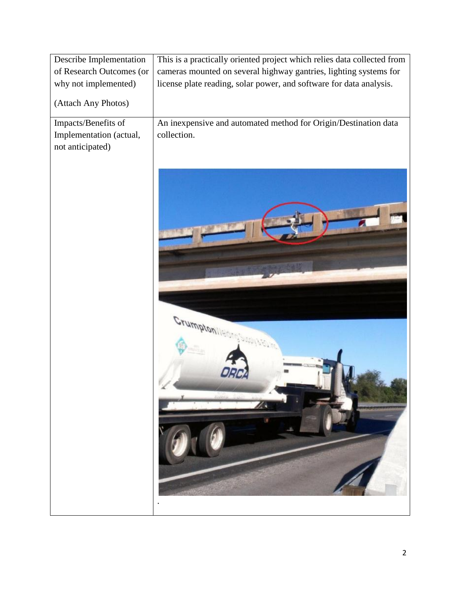| Describe Implementation  | This is a practically oriented project which relies data collected from |  |  |
|--------------------------|-------------------------------------------------------------------------|--|--|
| of Research Outcomes (or | cameras mounted on several highway gantries, lighting systems for       |  |  |
| why not implemented)     | license plate reading, solar power, and software for data analysis.     |  |  |
| (Attach Any Photos)      |                                                                         |  |  |
| Impacts/Benefits of      | An inexpensive and automated method for Origin/Destination data         |  |  |
| Implementation (actual,  | collection.                                                             |  |  |
| not anticipated)         |                                                                         |  |  |
|                          |                                                                         |  |  |
|                          |                                                                         |  |  |